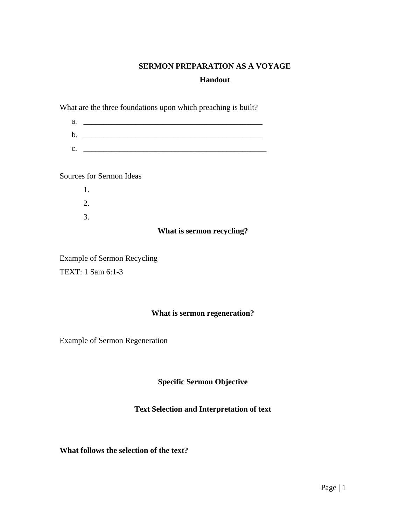# **SERMON PREPARATION AS A VOYAGE**

# **Handout**

What are the three foundations upon which preaching is built?

| a.            |  |
|---------------|--|
| $\mathbf b$ . |  |
| C.            |  |

Sources for Sermon Ideas

1. 2. 3.

### **What is sermon recycling?**

Example of Sermon Recycling TEXT: 1 Sam 6:1-3

# **What is sermon regeneration?**

Example of Sermon Regeneration

**Specific Sermon Objective** 

# **Text Selection and Interpretation of text**

**What follows the selection of the text?**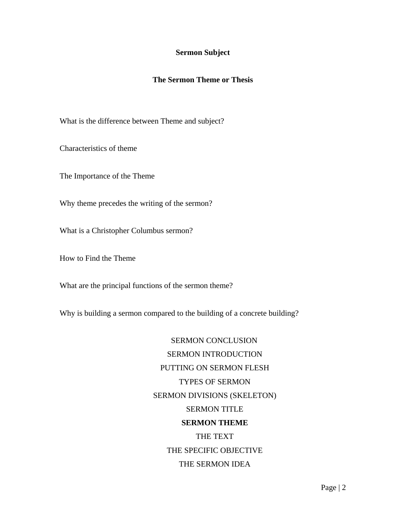#### **Sermon Subject**

### **The Sermon Theme or Thesis**

What is the difference between Theme and subject?

Characteristics of theme

The Importance of the Theme

Why theme precedes the writing of the sermon?

What is a Christopher Columbus sermon?

How to Find the Theme

What are the principal functions of the sermon theme?

Why is building a sermon compared to the building of a concrete building?

 SERMON CONCLUSION SERMON INTRODUCTION PUTTING ON SERMON FLESH TYPES OF SERMON SERMON DIVISIONS (SKELETON) SERMON TITLE **SERMON THEME**  THE TEXT THE SPECIFIC OBJECTIVE THE SERMON IDEA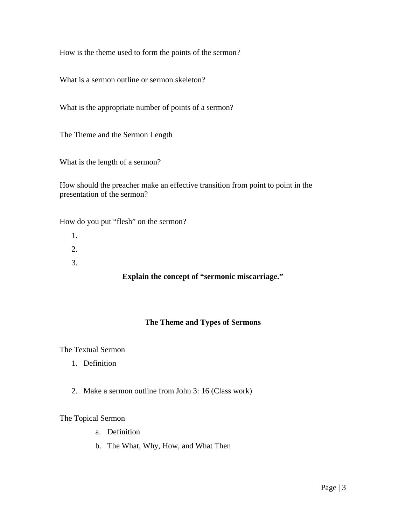How is the theme used to form the points of the sermon?

What is a sermon outline or sermon skeleton?

What is the appropriate number of points of a sermon?

The Theme and the Sermon Length

What is the length of a sermon?

How should the preacher make an effective transition from point to point in the presentation of the sermon?

How do you put "flesh" on the sermon?

- 1.
- 2.
- 3.

# **Explain the concept of "sermonic miscarriage."**

# **The Theme and Types of Sermons**

The Textual Sermon

- 1. Definition
- 2. Make a sermon outline from John 3: 16 (Class work)

#### The Topical Sermon

- a. Definition
- b. The What, Why, How, and What Then